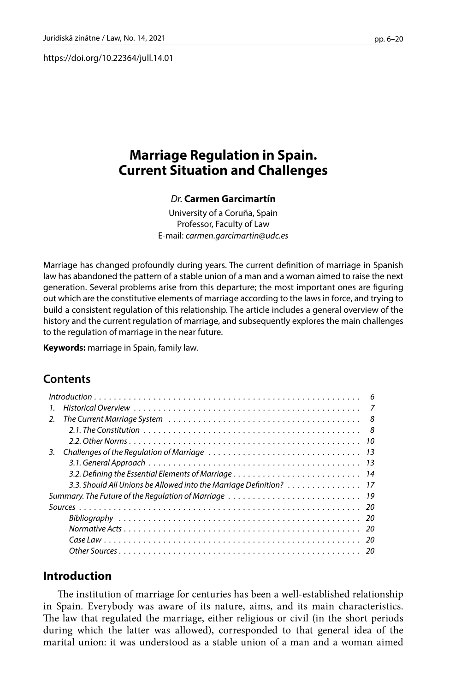https://doi.org/10.22364/jull.14.01

# **Marriage Regulation in Spain. Current Situation and Challenges**

### *Dr.* **Carmen Garcimartín**

University of a Coruña, Spain Professor, Faculty of Law E-mail: *[carmen.garcimartin@udc.es](mailto:carmen.garcimartin@udc.es)*

Marriage has changed profoundly during years. The current definition of marriage in Spanish law has abandoned the pattern of a stable union of a man and a woman aimed to raise the next generation. Several problems arise from this departure; the most important ones are figuring out which are the constitutive elements of marriage according to the laws in force, and trying to build a consistent regulation of this relationship. The article includes a general overview of the history and the current regulation of marriage, and subsequently explores the main challenges to the regulation of marriage in the near future.

**Keywords:** marriage in Spain, family law.

# **Contents**

| 1.                                                                 |
|--------------------------------------------------------------------|
| 2 <sub>1</sub>                                                     |
|                                                                    |
|                                                                    |
| 3.                                                                 |
|                                                                    |
| 3.2. Defining the Essential Elements of Marriage 14                |
| 3.3. Should All Unions be Allowed into the Marriage Definition? 17 |
|                                                                    |
|                                                                    |
|                                                                    |
|                                                                    |
|                                                                    |
|                                                                    |

## **Introduction**

The institution of marriage for centuries has been a well-established relationship in Spain. Everybody was aware of its nature, aims, and its main characteristics. The law that regulated the marriage, either religious or civil (in the short periods during which the latter was allowed), corresponded to that general idea of the marital union: it was understood as a stable union of a man and a woman aimed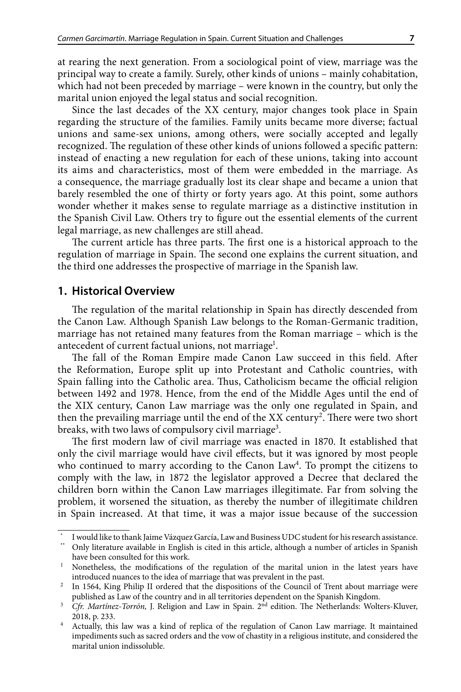at rearing the next generation. From a sociological point of view, marriage was the principal way to create a family. Surely, other kinds of unions – mainly cohabitation, which had not been preceded by marriage – were known in the country, but only the marital union enjoyed the legal status and social recognition.

Since the last decades of the XX century, major changes took place in Spain regarding the structure of the families. Family units became more diverse; factual unions and same-sex unions, among others, were socially accepted and legally recognized. The regulation of these other kinds of unions followed a specific pattern: instead of enacting a new regulation for each of these unions, taking into account its aims and characteristics, most of them were embedded in the marriage. As a consequence, the marriage gradually lost its clear shape and became a union that barely resembled the one of thirty or forty years ago. At this point, some authors wonder whether it makes sense to regulate marriage as a distinctive institution in the Spanish Civil Law. Others try to figure out the essential elements of the current legal marriage, as new challenges are still ahead.

The current article has three parts. The first one is a historical approach to the regulation of marriage in Spain. The second one explains the current situation, and the third one addresses the prospective of marriage in the Spanish law.

#### **1. Historical Overview**

The regulation of the marital relationship in Spain has directly descended from the Canon Law. Although Spanish Law belongs to the Roman-Germanic tradition, marriage has not retained many features from the Roman marriage – which is the antecedent of current factual unions, not marriage<sup>1</sup>.

The fall of the Roman Empire made Canon Law succeed in this field. After the Reformation, Europe split up into Protestant and Catholic countries, with Spain falling into the Catholic area. Thus, Catholicism became the official religion between 1492 and 1978. Hence, from the end of the Middle Ages until the end of the XIX century, Canon Law marriage was the only one regulated in Spain, and then the prevailing marriage until the end of the XX century<sup>2</sup>. There were two short breaks, with two laws of compulsory civil marriage $^3.$ 

The first modern law of civil marriage was enacted in 1870. It established that only the civil marriage would have civil effects, but it was ignored by most people who continued to marry according to the Canon Law<sup>4</sup>. To prompt the citizens to comply with the law, in 1872 the legislator approved a Decree that declared the children born within the Canon Law marriages illegitimate. Far from solving the problem, it worsened the situation, as thereby the number of illegitimate children in Spain increased. At that time, it was a major issue because of the succession

I would like to thank Jaime Vázquez García, Law and Business UDC student for his research assistance.

Only literature available in English is cited in this article, although a number of articles in Spanish have been consulted for this work.

<sup>&</sup>lt;sup>1</sup> Nonetheless, the modifications of the regulation of the marital union in the latest years have introduced nuances to the idea of marriage that was prevalent in the past.

<sup>&</sup>lt;sup>2</sup> In 1564, King Philip II ordered that the dispositions of the Council of Trent about marriage were published as Law of the country and in all territories dependent on the Spanish Kingdom.

<sup>&</sup>lt;sup>3</sup> *Cfr. Martínez-Torrón*, J. Religion and Law in Spain. 2<sup>nd</sup> edition. The Netherlands: Wolters-Kluver, 2018, p. 233.

<sup>4</sup> Actually, this law was a kind of replica of the regulation of Canon Law marriage. It maintained impediments such as sacred orders and the vow of chastity in a religious institute, and considered the marital union indissoluble.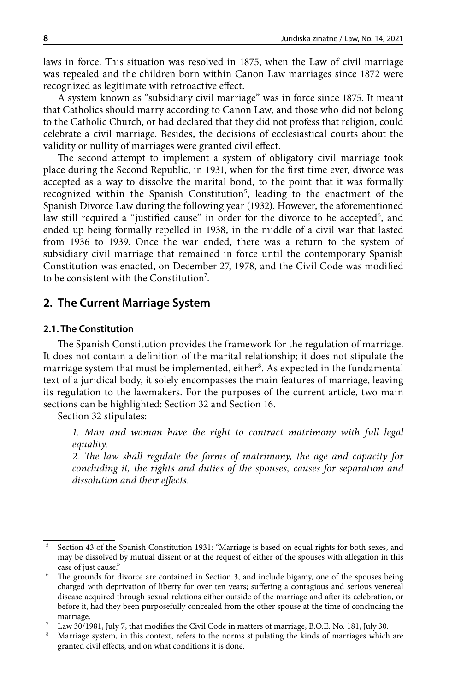laws in force. This situation was resolved in 1875, when the Law of civil marriage was repealed and the children born within Canon Law marriages since 1872 were recognized as legitimate with retroactive effect.

A system known as "subsidiary civil marriage" was in force since 1875. It meant that Catholics should marry according to Canon Law, and those who did not belong to the Catholic Church, or had declared that they did not profess that religion, could celebrate a civil marriage. Besides, the decisions of ecclesiastical courts about the validity or nullity of marriages were granted civil effect.

The second attempt to implement a system of obligatory civil marriage took place during the Second Republic, in 1931, when for the first time ever, divorce was accepted as a way to dissolve the marital bond, to the point that it was formally recognized within the Spanish Constitution<sup>5</sup>, leading to the enactment of the Spanish Divorce Law during the following year (1932). However, the aforementioned law still required a "justified cause" in order for the divorce to be accepted<sup>6</sup>, and ended up being formally repelled in 1938, in the middle of a civil war that lasted from 1936 to 1939. Once the war ended, there was a return to the system of subsidiary civil marriage that remained in force until the contemporary Spanish Constitution was enacted, on December 27, 1978, and the Civil Code was modified to be consistent with the Constitution<sup>7</sup>.

## **2. The Current Marriage System**

#### **2.1. The Constitution**

The Spanish Constitution provides the framework for the regulation of marriage. It does not contain a definition of the marital relationship; it does not stipulate the marriage system that must be implemented, either<sup>8</sup>. As expected in the fundamental text of a juridical body, it solely encompasses the main features of marriage, leaving its regulation to the lawmakers. For the purposes of the current article, two main sections can be highlighted: Section 32 and Section 16.

Section 32 stipulates:

*1. Man and woman have the right to contract matrimony with full legal equality.*

*2. The law shall regulate the forms of matrimony, the age and capacity for concluding it, the rights and duties of the spouses, causes for separation and dissolution and their effects*.

<sup>5</sup> Section 43 of the Spanish Constitution 1931: "Marriage is based on equal rights for both sexes, and may be dissolved by mutual dissent or at the request of either of the spouses with allegation in this case of just cause."

<sup>&</sup>lt;sup>6</sup> The grounds for divorce are contained in Section 3, and include bigamy, one of the spouses being charged with deprivation of liberty for over ten years; suffering a contagious and serious venereal disease acquired through sexual relations either outside of the marriage and after its celebration, or before it, had they been purposefully concealed from the other spouse at the time of concluding the marriage.

<sup>7</sup> Law 30/1981, July 7, that modifies the Civil Code in matters of marriage, B.O.E. No. 181, July 30.

<sup>&</sup>lt;sup>8</sup> Marriage system, in this context, refers to the norms stipulating the kinds of marriages which are granted civil effects, and on what conditions it is done.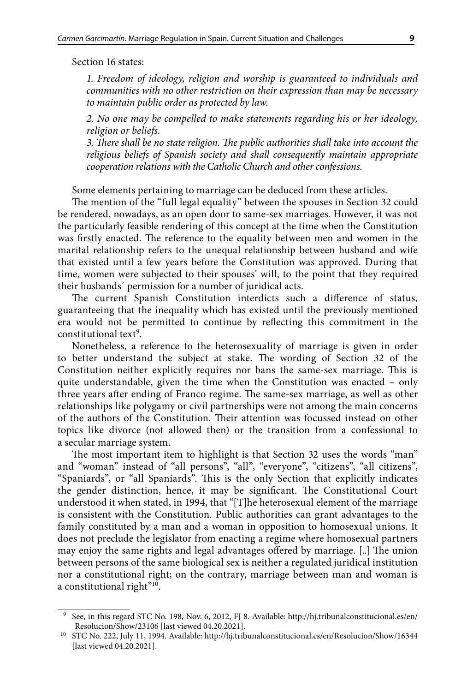Section 16 states:

*1. Freedom of ideology, religion and worship is guaranteed to individuals and communities with no other restriction on their expression than may be necessary to maintain public order as protected by law.*

*2. No one may be compelled to make statements regarding his or her ideology, religion or beliefs.*

*3. There shall be no state religion. The public authorities shall take into account the religious beliefs of Spanish society and shall consequently maintain appropriate cooperation relations with the Catholic Church and other confessions*.

Some elements pertaining to marriage can be deduced from these articles.

The mention of the "full legal equality" between the spouses in Section 32 could be rendered, nowadays, as an open door to same-sex marriages. However, it was not the particularly feasible rendering of this concept at the time when the Constitution was firstly enacted. The reference to the equality between men and women in the marital relationship refers to the unequal relationship between husband and wife that existed until a few years before the Constitution was approved. During that time, women were subjected to their spouses' will, to the point that they required their husbands´ permission for a number of juridical acts.

The current Spanish Constitution interdicts such a difference of status, guaranteeing that the inequality which has existed until the previously mentioned era would not be permitted to continue by reflecting this commitment in the constitutional text<sup>9</sup>.

Nonetheless, a reference to the heterosexuality of marriage is given in order to better understand the subject at stake. The wording of Section 32 of the Constitution neither explicitly requires nor bans the same-sex marriage. This is quite understandable, given the time when the Constitution was enacted – only three years after ending of Franco regime. The same-sex marriage, as well as other relationships like polygamy or civil partnerships were not among the main concerns of the authors of the Constitution. Their attention was focussed instead on other topics like divorce (not allowed then) or the transition from a confessional to a secular marriage system.

The most important item to highlight is that Section 32 uses the words "man" and "woman" instead of "all persons", "all", "everyone", "citizens", "all citizens", "Spaniards", or "all Spaniards". This is the only Section that explicitly indicates the gender distinction, hence, it may be significant. The Constitutional Court understood it when stated, in 1994, that "[T]he heterosexual element of the marriage is consistent with the Constitution. Public authorities can grant advantages to the family constituted by a man and a woman in opposition to homosexual unions. It does not preclude the legislator from enacting a regime where homosexual partners may enjoy the same rights and legal advantages offered by marriage. [..] The union between persons of the same biological sex is neither a regulated juridical institution nor a constitutional right; on the contrary, marriage between man and woman is a constitutional right"<sup>10</sup>.

<sup>9</sup> See, in this regard STC No. 198, Nov. 6, 2012, FJ 8. Available: <http://hj.tribunalconstitucional.es/en/> Resolucion/Show/23106 [last viewed 04.20.2021].

<sup>10</sup> STC No. 222, July 11, 1994. Available: <http://hj.tribunalconstitucional.es/en/Resolucion/Show/16344> [last viewed 04.20.2021].